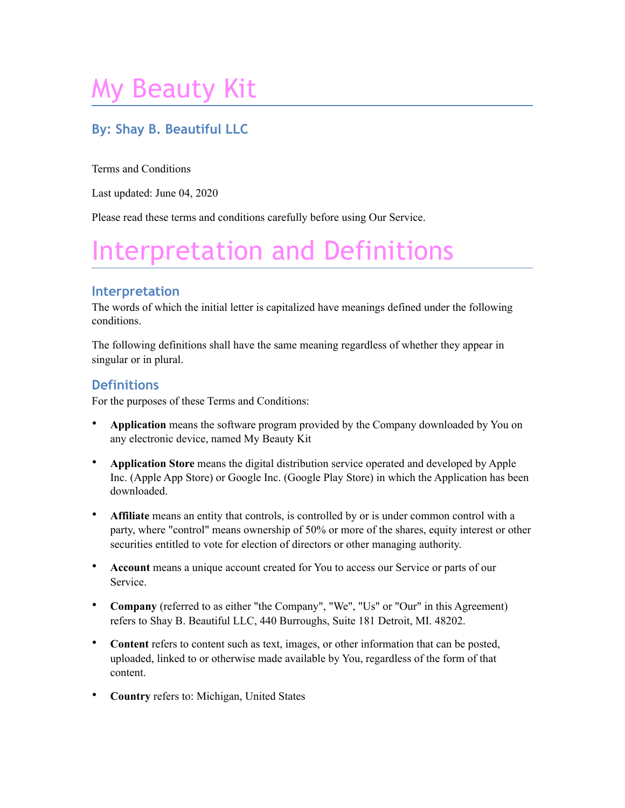# My Beauty Kit

### **By: Shay B. Beautiful LLC**

Terms and Conditions

Last updated: June 04, 2020

Please read these terms and conditions carefully before using Our Service.

# Interpretation and Definitions

#### **Interpretation**

The words of which the initial letter is capitalized have meanings defined under the following conditions.

The following definitions shall have the same meaning regardless of whether they appear in singular or in plural.

#### **Definitions**

For the purposes of these Terms and Conditions:

- **Application** means the software program provided by the Company downloaded by You on any electronic device, named My Beauty Kit
- **Application Store** means the digital distribution service operated and developed by Apple Inc. (Apple App Store) or Google Inc. (Google Play Store) in which the Application has been downloaded.
- **Affiliate** means an entity that controls, is controlled by or is under common control with a party, where "control" means ownership of 50% or more of the shares, equity interest or other securities entitled to vote for election of directors or other managing authority.
- **Account** means a unique account created for You to access our Service or parts of our Service.
- **Company** (referred to as either "the Company", "We", "Us" or "Our" in this Agreement) refers to Shay B. Beautiful LLC, 440 Burroughs, Suite 181 Detroit, MI. 48202.
- **Content** refers to content such as text, images, or other information that can be posted, uploaded, linked to or otherwise made available by You, regardless of the form of that content.
- **Country** refers to: Michigan, United States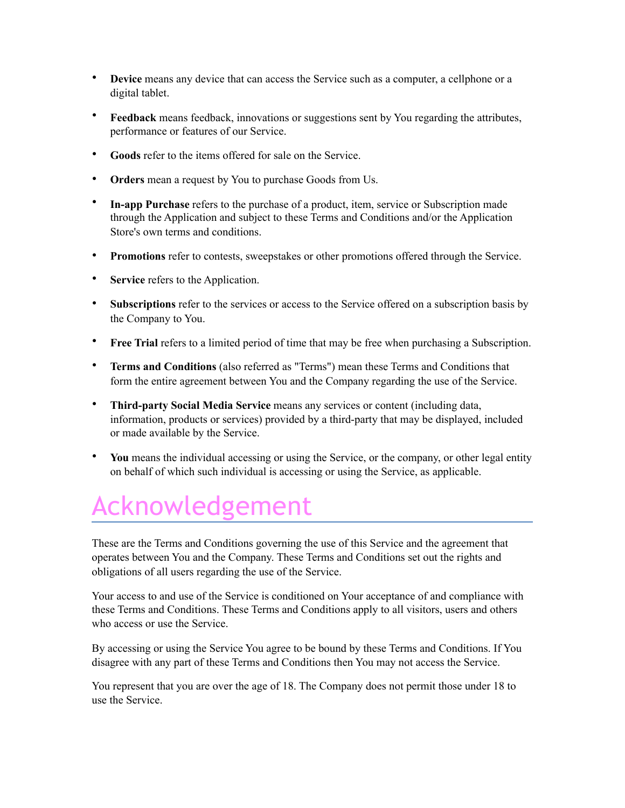- **Device** means any device that can access the Service such as a computer, a cellphone or a digital tablet.
- **Feedback** means feedback, innovations or suggestions sent by You regarding the attributes, performance or features of our Service.
- **Goods** refer to the items offered for sale on the Service.
- **Orders** mean a request by You to purchase Goods from Us.
- **In-app Purchase** refers to the purchase of a product, item, service or Subscription made through the Application and subject to these Terms and Conditions and/or the Application Store's own terms and conditions.
- **Promotions** refer to contests, sweepstakes or other promotions offered through the Service.
- **Service** refers to the Application.
- **Subscriptions** refer to the services or access to the Service offered on a subscription basis by the Company to You.
- **Free Trial** refers to a limited period of time that may be free when purchasing a Subscription.
- **Terms and Conditions** (also referred as "Terms") mean these Terms and Conditions that form the entire agreement between You and the Company regarding the use of the Service.
- **Third-party Social Media Service** means any services or content (including data, information, products or services) provided by a third-party that may be displayed, included or made available by the Service.
- **You** means the individual accessing or using the Service, or the company, or other legal entity on behalf of which such individual is accessing or using the Service, as applicable.

# Acknowledgement

These are the Terms and Conditions governing the use of this Service and the agreement that operates between You and the Company. These Terms and Conditions set out the rights and obligations of all users regarding the use of the Service.

Your access to and use of the Service is conditioned on Your acceptance of and compliance with these Terms and Conditions. These Terms and Conditions apply to all visitors, users and others who access or use the Service.

By accessing or using the Service You agree to be bound by these Terms and Conditions. If You disagree with any part of these Terms and Conditions then You may not access the Service.

You represent that you are over the age of 18. The Company does not permit those under 18 to use the Service.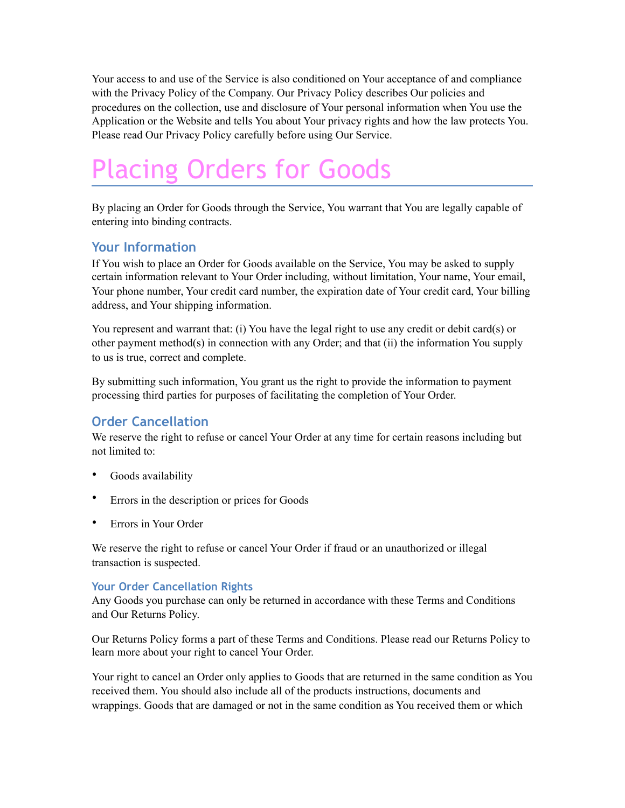Your access to and use of the Service is also conditioned on Your acceptance of and compliance with the Privacy Policy of the Company. Our Privacy Policy describes Our policies and procedures on the collection, use and disclosure of Your personal information when You use the Application or the Website and tells You about Your privacy rights and how the law protects You. Please read Our Privacy Policy carefully before using Our Service.

# Placing Orders for Goods

By placing an Order for Goods through the Service, You warrant that You are legally capable of entering into binding contracts.

### **Your Information**

If You wish to place an Order for Goods available on the Service, You may be asked to supply certain information relevant to Your Order including, without limitation, Your name, Your email, Your phone number, Your credit card number, the expiration date of Your credit card, Your billing address, and Your shipping information.

You represent and warrant that: (i) You have the legal right to use any credit or debit card(s) or other payment method(s) in connection with any Order; and that (ii) the information You supply to us is true, correct and complete.

By submitting such information, You grant us the right to provide the information to payment processing third parties for purposes of facilitating the completion of Your Order.

#### **Order Cancellation**

We reserve the right to refuse or cancel Your Order at any time for certain reasons including but not limited to:

- Goods availability
- Errors in the description or prices for Goods
- Errors in Your Order

We reserve the right to refuse or cancel Your Order if fraud or an unauthorized or illegal transaction is suspected.

#### **Your Order Cancellation Rights**

Any Goods you purchase can only be returned in accordance with these Terms and Conditions and Our Returns Policy.

Our Returns Policy forms a part of these Terms and Conditions. Please read our Returns Policy to learn more about your right to cancel Your Order.

Your right to cancel an Order only applies to Goods that are returned in the same condition as You received them. You should also include all of the products instructions, documents and wrappings. Goods that are damaged or not in the same condition as You received them or which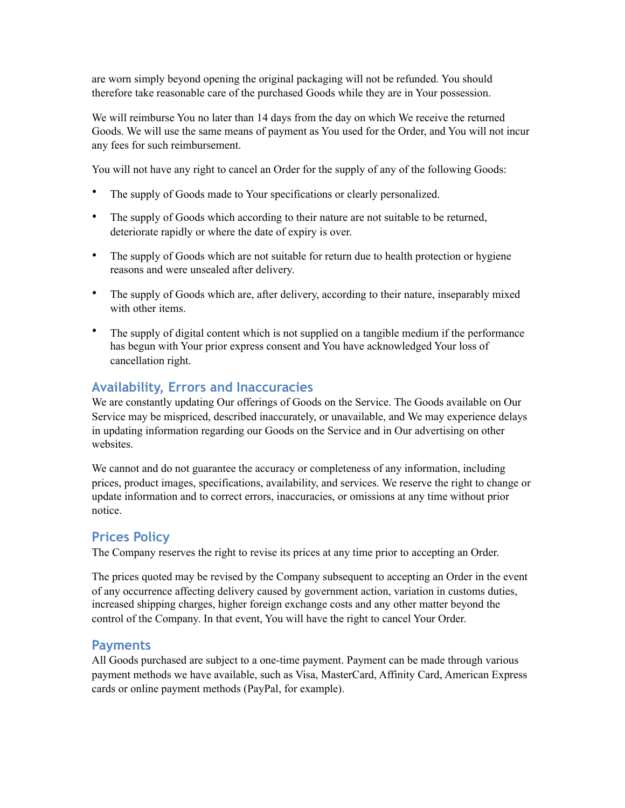are worn simply beyond opening the original packaging will not be refunded. You should therefore take reasonable care of the purchased Goods while they are in Your possession.

We will reimburse You no later than 14 days from the day on which We receive the returned Goods. We will use the same means of payment as You used for the Order, and You will not incur any fees for such reimbursement.

You will not have any right to cancel an Order for the supply of any of the following Goods:

- The supply of Goods made to Your specifications or clearly personalized.
- The supply of Goods which according to their nature are not suitable to be returned, deteriorate rapidly or where the date of expiry is over.
- The supply of Goods which are not suitable for return due to health protection or hygiene reasons and were unsealed after delivery.
- The supply of Goods which are, after delivery, according to their nature, inseparably mixed with other items.
- The supply of digital content which is not supplied on a tangible medium if the performance has begun with Your prior express consent and You have acknowledged Your loss of cancellation right.

### **Availability, Errors and Inaccuracies**

We are constantly updating Our offerings of Goods on the Service. The Goods available on Our Service may be mispriced, described inaccurately, or unavailable, and We may experience delays in updating information regarding our Goods on the Service and in Our advertising on other websites.

We cannot and do not guarantee the accuracy or completeness of any information, including prices, product images, specifications, availability, and services. We reserve the right to change or update information and to correct errors, inaccuracies, or omissions at any time without prior notice.

#### **Prices Policy**

The Company reserves the right to revise its prices at any time prior to accepting an Order.

The prices quoted may be revised by the Company subsequent to accepting an Order in the event of any occurrence affecting delivery caused by government action, variation in customs duties, increased shipping charges, higher foreign exchange costs and any other matter beyond the control of the Company. In that event, You will have the right to cancel Your Order.

#### **Payments**

All Goods purchased are subject to a one-time payment. Payment can be made through various payment methods we have available, such as Visa, MasterCard, Affinity Card, American Express cards or online payment methods (PayPal, for example).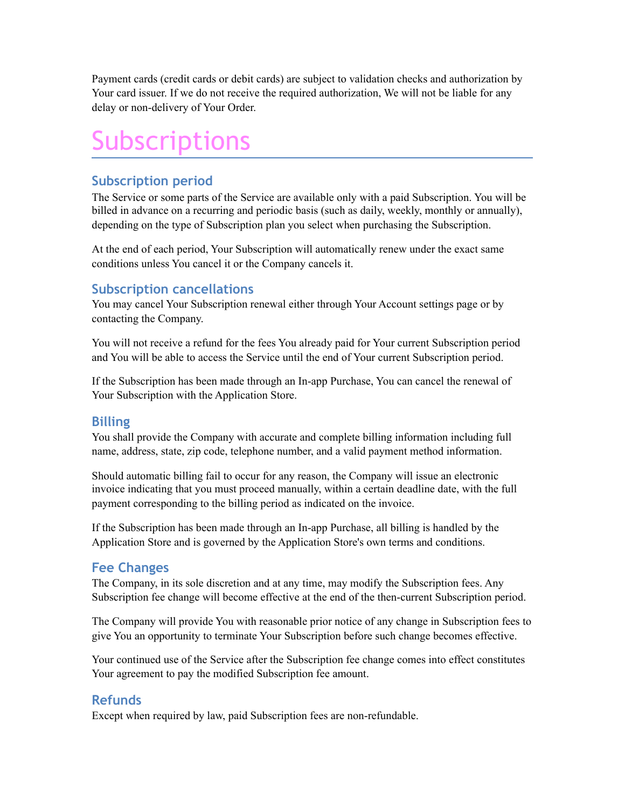Payment cards (credit cards or debit cards) are subject to validation checks and authorization by Your card issuer. If we do not receive the required authorization, We will not be liable for any delay or non-delivery of Your Order.

# **Subscriptions**

#### **Subscription period**

The Service or some parts of the Service are available only with a paid Subscription. You will be billed in advance on a recurring and periodic basis (such as daily, weekly, monthly or annually), depending on the type of Subscription plan you select when purchasing the Subscription.

At the end of each period, Your Subscription will automatically renew under the exact same conditions unless You cancel it or the Company cancels it.

#### **Subscription cancellations**

You may cancel Your Subscription renewal either through Your Account settings page or by contacting the Company.

You will not receive a refund for the fees You already paid for Your current Subscription period and You will be able to access the Service until the end of Your current Subscription period.

If the Subscription has been made through an In-app Purchase, You can cancel the renewal of Your Subscription with the Application Store.

#### **Billing**

You shall provide the Company with accurate and complete billing information including full name, address, state, zip code, telephone number, and a valid payment method information.

Should automatic billing fail to occur for any reason, the Company will issue an electronic invoice indicating that you must proceed manually, within a certain deadline date, with the full payment corresponding to the billing period as indicated on the invoice.

If the Subscription has been made through an In-app Purchase, all billing is handled by the Application Store and is governed by the Application Store's own terms and conditions.

#### **Fee Changes**

The Company, in its sole discretion and at any time, may modify the Subscription fees. Any Subscription fee change will become effective at the end of the then-current Subscription period.

The Company will provide You with reasonable prior notice of any change in Subscription fees to give You an opportunity to terminate Your Subscription before such change becomes effective.

Your continued use of the Service after the Subscription fee change comes into effect constitutes Your agreement to pay the modified Subscription fee amount.

### **Refunds**

Except when required by law, paid Subscription fees are non-refundable.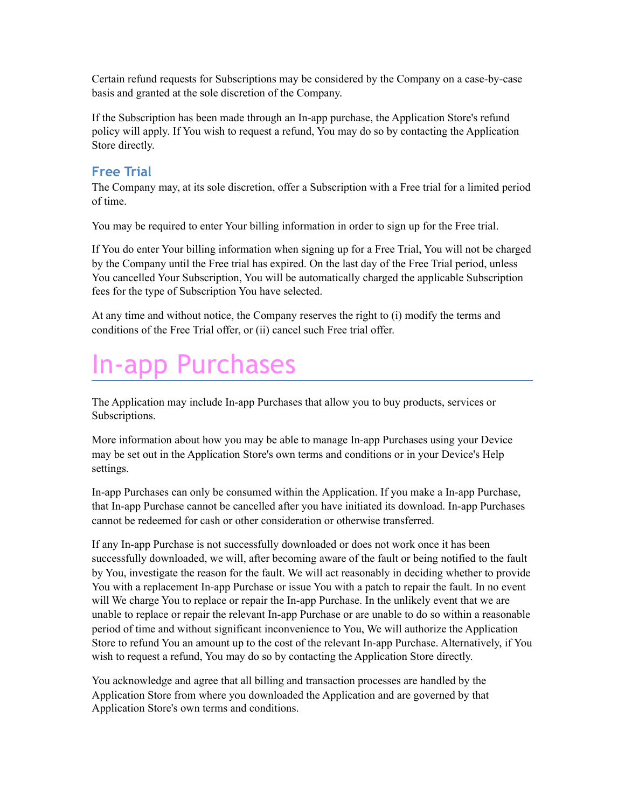Certain refund requests for Subscriptions may be considered by the Company on a case-by-case basis and granted at the sole discretion of the Company.

If the Subscription has been made through an In-app purchase, the Application Store's refund policy will apply. If You wish to request a refund, You may do so by contacting the Application Store directly.

#### **Free Trial**

The Company may, at its sole discretion, offer a Subscription with a Free trial for a limited period of time.

You may be required to enter Your billing information in order to sign up for the Free trial.

If You do enter Your billing information when signing up for a Free Trial, You will not be charged by the Company until the Free trial has expired. On the last day of the Free Trial period, unless You cancelled Your Subscription, You will be automatically charged the applicable Subscription fees for the type of Subscription You have selected.

At any time and without notice, the Company reserves the right to (i) modify the terms and conditions of the Free Trial offer, or (ii) cancel such Free trial offer.

### In-app Purchases

The Application may include In-app Purchases that allow you to buy products, services or Subscriptions.

More information about how you may be able to manage In-app Purchases using your Device may be set out in the Application Store's own terms and conditions or in your Device's Help settings.

In-app Purchases can only be consumed within the Application. If you make a In-app Purchase, that In-app Purchase cannot be cancelled after you have initiated its download. In-app Purchases cannot be redeemed for cash or other consideration or otherwise transferred.

If any In-app Purchase is not successfully downloaded or does not work once it has been successfully downloaded, we will, after becoming aware of the fault or being notified to the fault by You, investigate the reason for the fault. We will act reasonably in deciding whether to provide You with a replacement In-app Purchase or issue You with a patch to repair the fault. In no event will We charge You to replace or repair the In-app Purchase. In the unlikely event that we are unable to replace or repair the relevant In-app Purchase or are unable to do so within a reasonable period of time and without significant inconvenience to You, We will authorize the Application Store to refund You an amount up to the cost of the relevant In-app Purchase. Alternatively, if You wish to request a refund, You may do so by contacting the Application Store directly.

You acknowledge and agree that all billing and transaction processes are handled by the Application Store from where you downloaded the Application and are governed by that Application Store's own terms and conditions.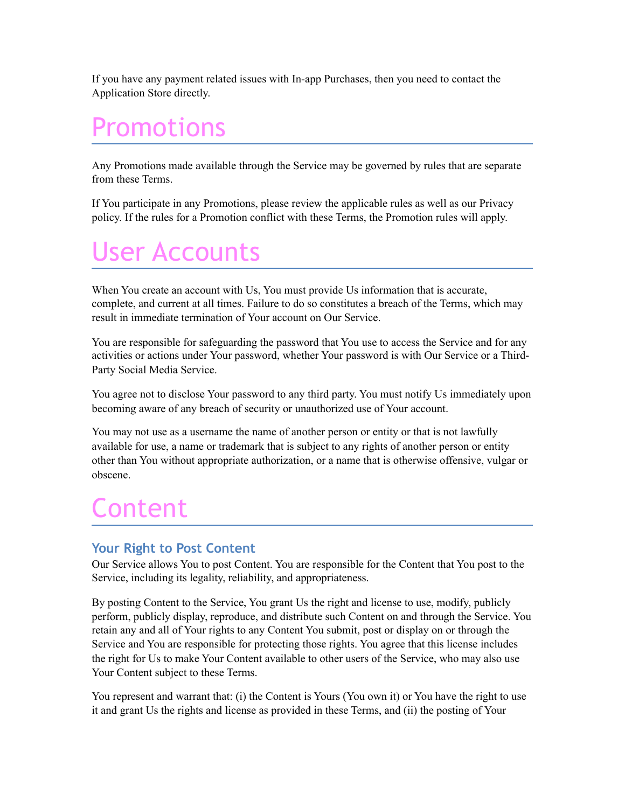If you have any payment related issues with In-app Purchases, then you need to contact the Application Store directly.

## Promotions

Any Promotions made available through the Service may be governed by rules that are separate from these Terms.

If You participate in any Promotions, please review the applicable rules as well as our Privacy policy. If the rules for a Promotion conflict with these Terms, the Promotion rules will apply.

## User Accounts

When You create an account with Us, You must provide Us information that is accurate, complete, and current at all times. Failure to do so constitutes a breach of the Terms, which may result in immediate termination of Your account on Our Service.

You are responsible for safeguarding the password that You use to access the Service and for any activities or actions under Your password, whether Your password is with Our Service or a Third-Party Social Media Service.

You agree not to disclose Your password to any third party. You must notify Us immediately upon becoming aware of any breach of security or unauthorized use of Your account.

You may not use as a username the name of another person or entity or that is not lawfully available for use, a name or trademark that is subject to any rights of another person or entity other than You without appropriate authorization, or a name that is otherwise offensive, vulgar or obscene.

## Content

### **Your Right to Post Content**

Our Service allows You to post Content. You are responsible for the Content that You post to the Service, including its legality, reliability, and appropriateness.

By posting Content to the Service, You grant Us the right and license to use, modify, publicly perform, publicly display, reproduce, and distribute such Content on and through the Service. You retain any and all of Your rights to any Content You submit, post or display on or through the Service and You are responsible for protecting those rights. You agree that this license includes the right for Us to make Your Content available to other users of the Service, who may also use Your Content subject to these Terms.

You represent and warrant that: (i) the Content is Yours (You own it) or You have the right to use it and grant Us the rights and license as provided in these Terms, and (ii) the posting of Your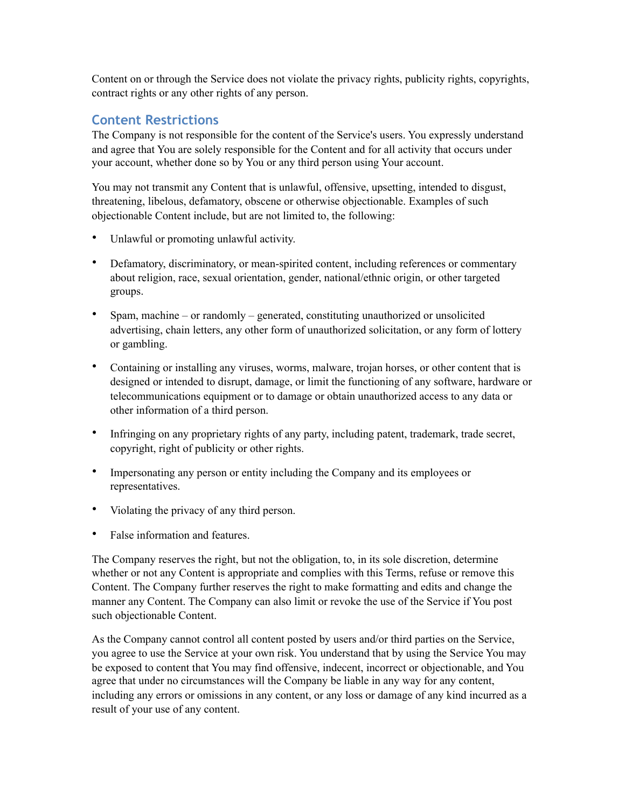Content on or through the Service does not violate the privacy rights, publicity rights, copyrights, contract rights or any other rights of any person.

#### **Content Restrictions**

The Company is not responsible for the content of the Service's users. You expressly understand and agree that You are solely responsible for the Content and for all activity that occurs under your account, whether done so by You or any third person using Your account.

You may not transmit any Content that is unlawful, offensive, upsetting, intended to disgust, threatening, libelous, defamatory, obscene or otherwise objectionable. Examples of such objectionable Content include, but are not limited to, the following:

- Unlawful or promoting unlawful activity.
- Defamatory, discriminatory, or mean-spirited content, including references or commentary about religion, race, sexual orientation, gender, national/ethnic origin, or other targeted groups.
- Spam, machine or randomly generated, constituting unauthorized or unsolicited advertising, chain letters, any other form of unauthorized solicitation, or any form of lottery or gambling.
- Containing or installing any viruses, worms, malware, trojan horses, or other content that is designed or intended to disrupt, damage, or limit the functioning of any software, hardware or telecommunications equipment or to damage or obtain unauthorized access to any data or other information of a third person.
- Infringing on any proprietary rights of any party, including patent, trademark, trade secret, copyright, right of publicity or other rights.
- Impersonating any person or entity including the Company and its employees or representatives.
- Violating the privacy of any third person.
- False information and features.

The Company reserves the right, but not the obligation, to, in its sole discretion, determine whether or not any Content is appropriate and complies with this Terms, refuse or remove this Content. The Company further reserves the right to make formatting and edits and change the manner any Content. The Company can also limit or revoke the use of the Service if You post such objectionable Content.

As the Company cannot control all content posted by users and/or third parties on the Service, you agree to use the Service at your own risk. You understand that by using the Service You may be exposed to content that You may find offensive, indecent, incorrect or objectionable, and You agree that under no circumstances will the Company be liable in any way for any content, including any errors or omissions in any content, or any loss or damage of any kind incurred as a result of your use of any content.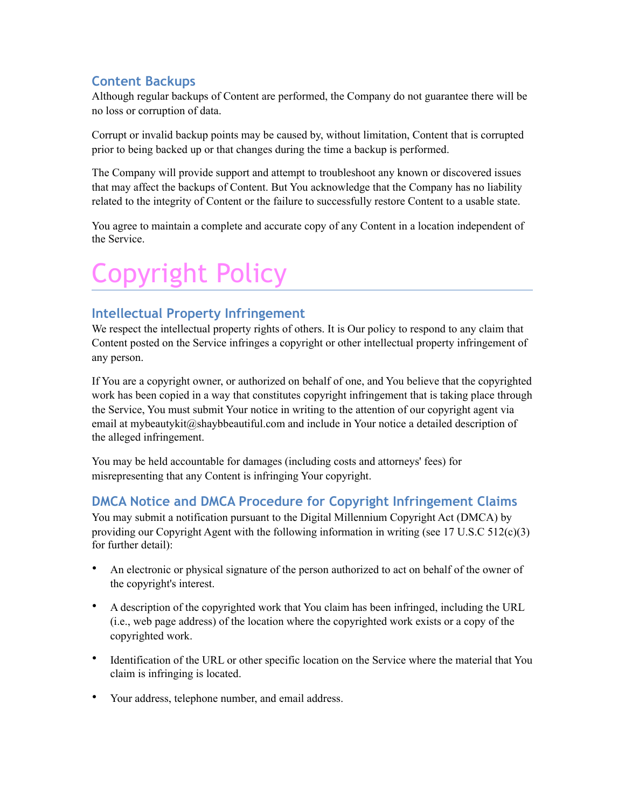### **Content Backups**

Although regular backups of Content are performed, the Company do not guarantee there will be no loss or corruption of data.

Corrupt or invalid backup points may be caused by, without limitation, Content that is corrupted prior to being backed up or that changes during the time a backup is performed.

The Company will provide support and attempt to troubleshoot any known or discovered issues that may affect the backups of Content. But You acknowledge that the Company has no liability related to the integrity of Content or the failure to successfully restore Content to a usable state.

You agree to maintain a complete and accurate copy of any Content in a location independent of the Service.

# Copyright Policy

### **Intellectual Property Infringement**

We respect the intellectual property rights of others. It is Our policy to respond to any claim that Content posted on the Service infringes a copyright or other intellectual property infringement of any person.

If You are a copyright owner, or authorized on behalf of one, and You believe that the copyrighted work has been copied in a way that constitutes copyright infringement that is taking place through the Service, You must submit Your notice in writing to the attention of our copyright agent via email at mybeautykit@shaybbeautiful.com and include in Your notice a detailed description of the alleged infringement.

You may be held accountable for damages (including costs and attorneys' fees) for misrepresenting that any Content is infringing Your copyright.

### **DMCA Notice and DMCA Procedure for Copyright Infringement Claims**

You may submit a notification pursuant to the Digital Millennium Copyright Act (DMCA) by providing our Copyright Agent with the following information in writing (see 17 U.S.C 512(c)(3) for further detail):

- An electronic or physical signature of the person authorized to act on behalf of the owner of the copyright's interest.
- A description of the copyrighted work that You claim has been infringed, including the URL (i.e., web page address) of the location where the copyrighted work exists or a copy of the copyrighted work.
- Identification of the URL or other specific location on the Service where the material that You claim is infringing is located.
- Your address, telephone number, and email address.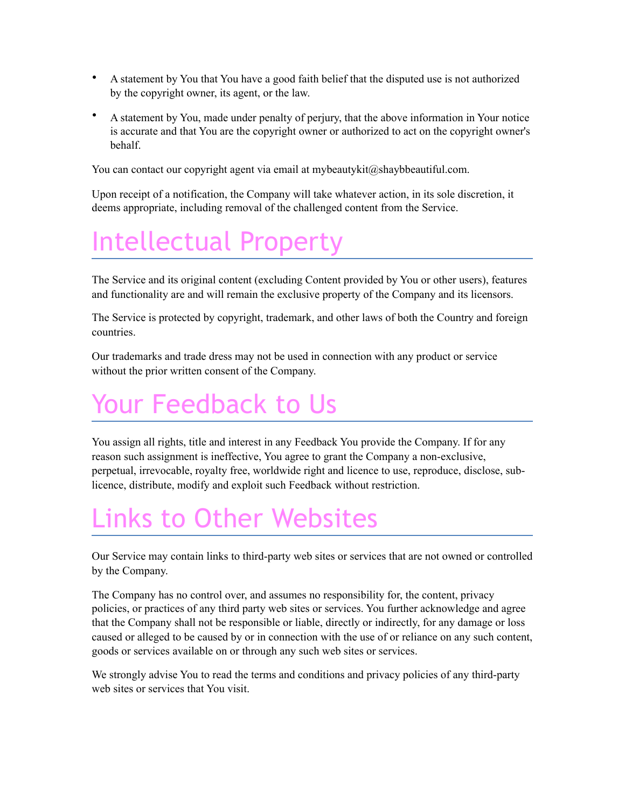- A statement by You that You have a good faith belief that the disputed use is not authorized by the copyright owner, its agent, or the law.
- A statement by You, made under penalty of perjury, that the above information in Your notice is accurate and that You are the copyright owner or authorized to act on the copyright owner's behalf.

You can contact our copyright agent via email at mybeautykit@shaybbeautiful.com.

Upon receipt of a notification, the Company will take whatever action, in its sole discretion, it deems appropriate, including removal of the challenged content from the Service.

## Intellectual Property

The Service and its original content (excluding Content provided by You or other users), features and functionality are and will remain the exclusive property of the Company and its licensors.

The Service is protected by copyright, trademark, and other laws of both the Country and foreign countries.

Our trademarks and trade dress may not be used in connection with any product or service without the prior written consent of the Company.

# Your Feedback to Us

You assign all rights, title and interest in any Feedback You provide the Company. If for any reason such assignment is ineffective, You agree to grant the Company a non-exclusive, perpetual, irrevocable, royalty free, worldwide right and licence to use, reproduce, disclose, sublicence, distribute, modify and exploit such Feedback without restriction.

## Links to Other Websites

Our Service may contain links to third-party web sites or services that are not owned or controlled by the Company.

The Company has no control over, and assumes no responsibility for, the content, privacy policies, or practices of any third party web sites or services. You further acknowledge and agree that the Company shall not be responsible or liable, directly or indirectly, for any damage or loss caused or alleged to be caused by or in connection with the use of or reliance on any such content, goods or services available on or through any such web sites or services.

We strongly advise You to read the terms and conditions and privacy policies of any third-party web sites or services that You visit.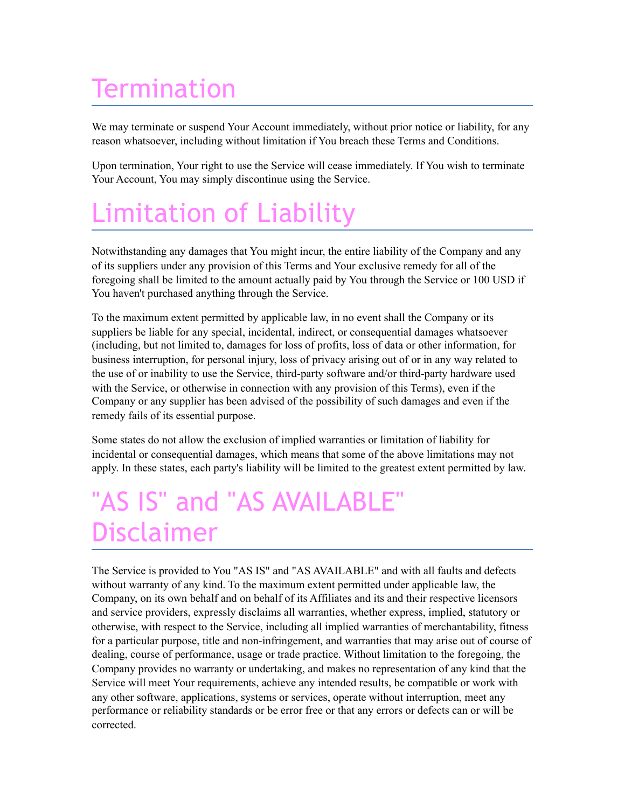# **Termination**

We may terminate or suspend Your Account immediately, without prior notice or liability, for any reason whatsoever, including without limitation if You breach these Terms and Conditions.

Upon termination, Your right to use the Service will cease immediately. If You wish to terminate Your Account, You may simply discontinue using the Service.

# Limitation of Liability

Notwithstanding any damages that You might incur, the entire liability of the Company and any of its suppliers under any provision of this Terms and Your exclusive remedy for all of the foregoing shall be limited to the amount actually paid by You through the Service or 100 USD if You haven't purchased anything through the Service.

To the maximum extent permitted by applicable law, in no event shall the Company or its suppliers be liable for any special, incidental, indirect, or consequential damages whatsoever (including, but not limited to, damages for loss of profits, loss of data or other information, for business interruption, for personal injury, loss of privacy arising out of or in any way related to the use of or inability to use the Service, third-party software and/or third-party hardware used with the Service, or otherwise in connection with any provision of this Terms), even if the Company or any supplier has been advised of the possibility of such damages and even if the remedy fails of its essential purpose.

Some states do not allow the exclusion of implied warranties or limitation of liability for incidental or consequential damages, which means that some of the above limitations may not apply. In these states, each party's liability will be limited to the greatest extent permitted by law.

## "AS IS" and "AS AVAILABLE" Disclaimer

The Service is provided to You "AS IS" and "AS AVAILABLE" and with all faults and defects without warranty of any kind. To the maximum extent permitted under applicable law, the Company, on its own behalf and on behalf of its Affiliates and its and their respective licensors and service providers, expressly disclaims all warranties, whether express, implied, statutory or otherwise, with respect to the Service, including all implied warranties of merchantability, fitness for a particular purpose, title and non-infringement, and warranties that may arise out of course of dealing, course of performance, usage or trade practice. Without limitation to the foregoing, the Company provides no warranty or undertaking, and makes no representation of any kind that the Service will meet Your requirements, achieve any intended results, be compatible or work with any other software, applications, systems or services, operate without interruption, meet any performance or reliability standards or be error free or that any errors or defects can or will be corrected.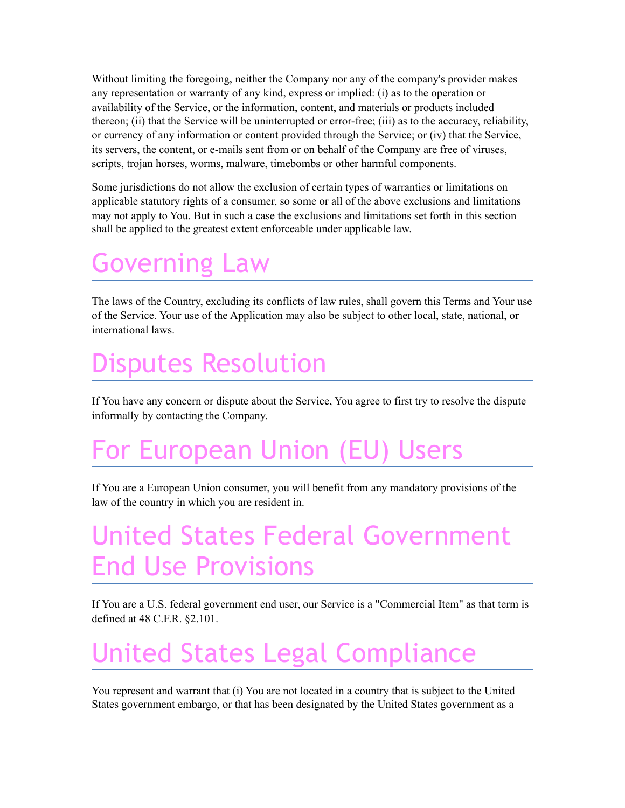Without limiting the foregoing, neither the Company nor any of the company's provider makes any representation or warranty of any kind, express or implied: (i) as to the operation or availability of the Service, or the information, content, and materials or products included thereon; (ii) that the Service will be uninterrupted or error-free; (iii) as to the accuracy, reliability, or currency of any information or content provided through the Service; or (iv) that the Service, its servers, the content, or e-mails sent from or on behalf of the Company are free of viruses, scripts, trojan horses, worms, malware, timebombs or other harmful components.

Some jurisdictions do not allow the exclusion of certain types of warranties or limitations on applicable statutory rights of a consumer, so some or all of the above exclusions and limitations may not apply to You. But in such a case the exclusions and limitations set forth in this section shall be applied to the greatest extent enforceable under applicable law.

### Governing Law

The laws of the Country, excluding its conflicts of law rules, shall govern this Terms and Your use of the Service. Your use of the Application may also be subject to other local, state, national, or international laws.

## Disputes Resolution

If You have any concern or dispute about the Service, You agree to first try to resolve the dispute informally by contacting the Company.

# For European Union (EU) Users

If You are a European Union consumer, you will benefit from any mandatory provisions of the law of the country in which you are resident in.

## United States Federal Government End Use Provisions

If You are a U.S. federal government end user, our Service is a "Commercial Item" as that term is defined at 48 C.F.R. §2.101.

# United States Legal Compliance

You represent and warrant that (i) You are not located in a country that is subject to the United States government embargo, or that has been designated by the United States government as a